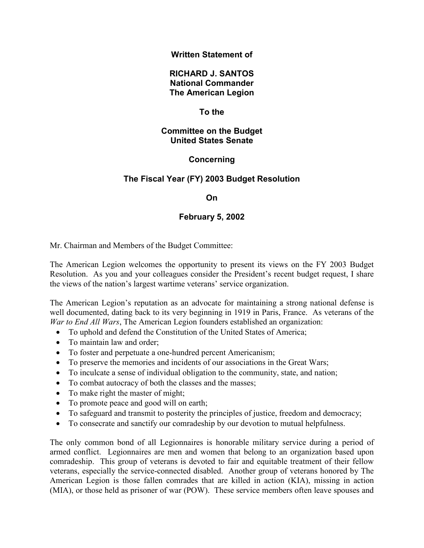## **Written Statement of**

## **RICHARD J. SANTOS National Commander The American Legion**

## **To the**

### **Committee on the Budget United States Senate**

# **Concerning**

# **The Fiscal Year (FY) 2003 Budget Resolution**

#### **On**

# **February 5, 2002**

Mr. Chairman and Members of the Budget Committee:

The American Legion welcomes the opportunity to present its views on the FY 2003 Budget Resolution. As you and your colleagues consider the President's recent budget request, I share the views of the nation's largest wartime veterans' service organization.

The American Legion's reputation as an advocate for maintaining a strong national defense is well documented, dating back to its very beginning in 1919 in Paris, France. As veterans of the *War to End All Wars*, The American Legion founders established an organization:

- To uphold and defend the Constitution of the United States of America:
- To maintain law and order;
- To foster and perpetuate a one-hundred percent Americanism;
- To preserve the memories and incidents of our associations in the Great Wars;
- To inculcate a sense of individual obligation to the community, state, and nation;
- To combat autocracy of both the classes and the masses;
- To make right the master of might;
- To promote peace and good will on earth;
- To safeguard and transmit to posterity the principles of justice, freedom and democracy;
- To consecrate and sanctify our comradeship by our devotion to mutual helpfulness.

The only common bond of all Legionnaires is honorable military service during a period of armed conflict. Legionnaires are men and women that belong to an organization based upon comradeship. This group of veterans is devoted to fair and equitable treatment of their fellow veterans, especially the service-connected disabled. Another group of veterans honored by The American Legion is those fallen comrades that are killed in action (KIA), missing in action (MIA), or those held as prisoner of war (POW). These service members often leave spouses and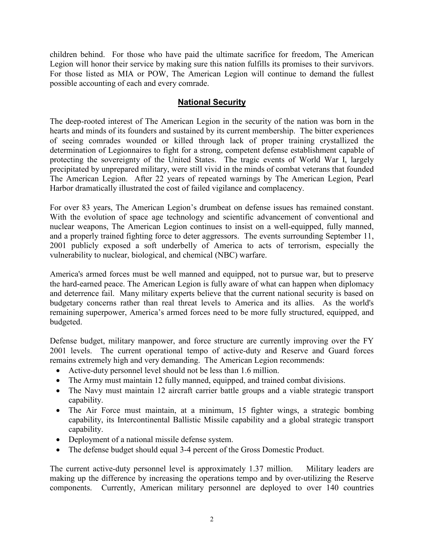children behind. For those who have paid the ultimate sacrifice for freedom, The American Legion will honor their service by making sure this nation fulfills its promises to their survivors. For those listed as MIA or POW, The American Legion will continue to demand the fullest possible accounting of each and every comrade.

# **National Security**

The deep-rooted interest of The American Legion in the security of the nation was born in the hearts and minds of its founders and sustained by its current membership. The bitter experiences of seeing comrades wounded or killed through lack of proper training crystallized the determination of Legionnaires to fight for a strong, competent defense establishment capable of protecting the sovereignty of the United States. The tragic events of World War I, largely precipitated by unprepared military, were still vivid in the minds of combat veterans that founded The American Legion. After 22 years of repeated warnings by The American Legion, Pearl Harbor dramatically illustrated the cost of failed vigilance and complacency.

For over 83 years, The American Legion's drumbeat on defense issues has remained constant. With the evolution of space age technology and scientific advancement of conventional and nuclear weapons, The American Legion continues to insist on a well-equipped, fully manned, and a properly trained fighting force to deter aggressors. The events surrounding September 11, 2001 publicly exposed a soft underbelly of America to acts of terrorism, especially the vulnerability to nuclear, biological, and chemical (NBC) warfare.

America's armed forces must be well manned and equipped, not to pursue war, but to preserve the hard-earned peace. The American Legion is fully aware of what can happen when diplomacy and deterrence fail. Many military experts believe that the current national security is based on budgetary concerns rather than real threat levels to America and its allies. As the world's remaining superpower, America's armed forces need to be more fully structured, equipped, and budgeted.

Defense budget, military manpower, and force structure are currently improving over the FY 2001 levels. The current operational tempo of active-duty and Reserve and Guard forces remains extremely high and very demanding. The American Legion recommends:

- Active-duty personnel level should not be less than 1.6 million.
- The Army must maintain 12 fully manned, equipped, and trained combat divisions.
- The Navy must maintain 12 aircraft carrier battle groups and a viable strategic transport capability.
- The Air Force must maintain, at a minimum, 15 fighter wings, a strategic bombing capability, its Intercontinental Ballistic Missile capability and a global strategic transport capability.
- Deployment of a national missile defense system.
- The defense budget should equal 3-4 percent of the Gross Domestic Product.

The current active-duty personnel level is approximately 1.37 million. Military leaders are making up the difference by increasing the operations tempo and by over-utilizing the Reserve components. Currently, American military personnel are deployed to over 140 countries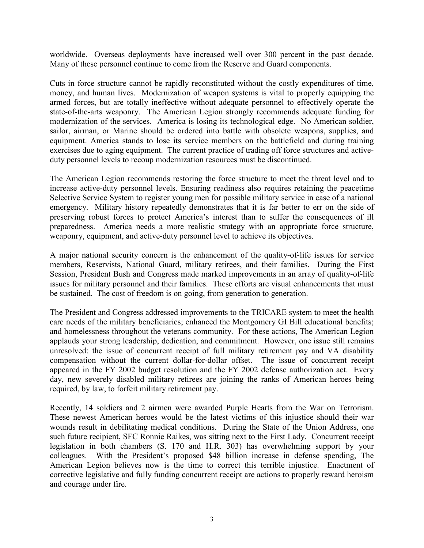worldwide. Overseas deployments have increased well over 300 percent in the past decade. Many of these personnel continue to come from the Reserve and Guard components.

Cuts in force structure cannot be rapidly reconstituted without the costly expenditures of time, money, and human lives. Modernization of weapon systems is vital to properly equipping the armed forces, but are totally ineffective without adequate personnel to effectively operate the state-of-the-arts weaponry. The American Legion strongly recommends adequate funding for modernization of the services. America is losing its technological edge. No American soldier, sailor, airman, or Marine should be ordered into battle with obsolete weapons, supplies, and equipment. America stands to lose its service members on the battlefield and during training exercises due to aging equipment. The current practice of trading off force structures and activeduty personnel levels to recoup modernization resources must be discontinued.

The American Legion recommends restoring the force structure to meet the threat level and to increase active-duty personnel levels. Ensuring readiness also requires retaining the peacetime Selective Service System to register young men for possible military service in case of a national emergency. Military history repeatedly demonstrates that it is far better to err on the side of preserving robust forces to protect America's interest than to suffer the consequences of ill preparedness. America needs a more realistic strategy with an appropriate force structure, weaponry, equipment, and active-duty personnel level to achieve its objectives.

A major national security concern is the enhancement of the quality-of-life issues for service members, Reservists, National Guard, military retirees, and their families. During the First Session, President Bush and Congress made marked improvements in an array of quality-of-life issues for military personnel and their families. These efforts are visual enhancements that must be sustained. The cost of freedom is on going, from generation to generation.

The President and Congress addressed improvements to the TRICARE system to meet the health care needs of the military beneficiaries; enhanced the Montgomery GI Bill educational benefits; and homelessness throughout the veterans community. For these actions, The American Legion applauds your strong leadership, dedication, and commitment. However, one issue still remains unresolved: the issue of concurrent receipt of full military retirement pay and VA disability compensation without the current dollar-for-dollar offset. The issue of concurrent receipt appeared in the FY 2002 budget resolution and the FY 2002 defense authorization act. Every day, new severely disabled military retirees are joining the ranks of American heroes being required, by law, to forfeit military retirement pay.

Recently, 14 soldiers and 2 airmen were awarded Purple Hearts from the War on Terrorism. These newest American heroes would be the latest victims of this injustice should their war wounds result in debilitating medical conditions. During the State of the Union Address, one such future recipient, SFC Ronnie Raikes, was sitting next to the First Lady. Concurrent receipt legislation in both chambers (S. 170 and H.R. 303) has overwhelming support by your colleagues. With the President's proposed \$48 billion increase in defense spending, The American Legion believes now is the time to correct this terrible injustice. Enactment of corrective legislative and fully funding concurrent receipt are actions to properly reward heroism and courage under fire.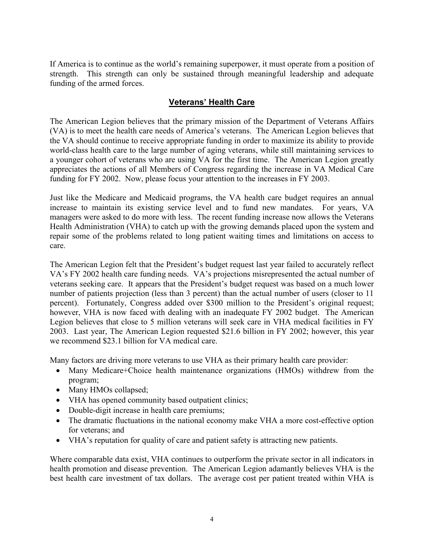If America is to continue as the world's remaining superpower, it must operate from a position of strength. This strength can only be sustained through meaningful leadership and adequate funding of the armed forces.

# **Veterans' Health Care**

The American Legion believes that the primary mission of the Department of Veterans Affairs (VA) is to meet the health care needs of America's veterans. The American Legion believes that the VA should continue to receive appropriate funding in order to maximize its ability to provide world-class health care to the large number of aging veterans, while still maintaining services to a younger cohort of veterans who are using VA for the first time. The American Legion greatly appreciates the actions of all Members of Congress regarding the increase in VA Medical Care funding for FY 2002. Now, please focus your attention to the increases in FY 2003.

Just like the Medicare and Medicaid programs, the VA health care budget requires an annual increase to maintain its existing service level and to fund new mandates. For years, VA managers were asked to do more with less. The recent funding increase now allows the Veterans Health Administration (VHA) to catch up with the growing demands placed upon the system and repair some of the problems related to long patient waiting times and limitations on access to care.

The American Legion felt that the President's budget request last year failed to accurately reflect VA's FY 2002 health care funding needs. VA's projections misrepresented the actual number of veterans seeking care. It appears that the President's budget request was based on a much lower number of patients projection (less than 3 percent) than the actual number of users (closer to 11 percent). Fortunately, Congress added over \$300 million to the President's original request; however, VHA is now faced with dealing with an inadequate FY 2002 budget. The American Legion believes that close to 5 million veterans will seek care in VHA medical facilities in FY 2003. Last year, The American Legion requested \$21.6 billion in FY 2002; however, this year we recommend \$23.1 billion for VA medical care.

Many factors are driving more veterans to use VHA as their primary health care provider:

- Many Medicare+Choice health maintenance organizations (HMOs) withdrew from the program;
- Many HMOs collapsed;
- VHA has opened community based outpatient clinics;
- Double-digit increase in health care premiums;
- The dramatic fluctuations in the national economy make VHA a more cost-effective option for veterans; and
- VHA's reputation for quality of care and patient safety is attracting new patients.

Where comparable data exist, VHA continues to outperform the private sector in all indicators in health promotion and disease prevention. The American Legion adamantly believes VHA is the best health care investment of tax dollars. The average cost per patient treated within VHA is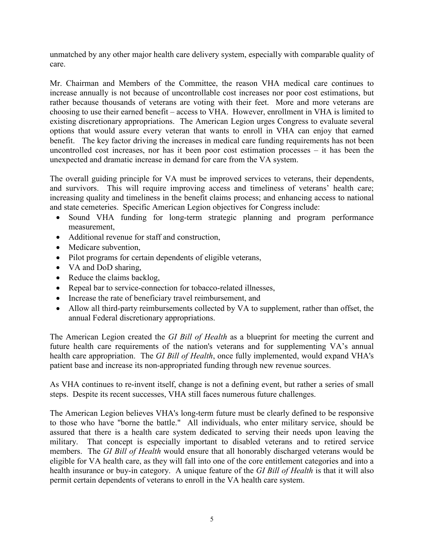unmatched by any other major health care delivery system, especially with comparable quality of care.

Mr. Chairman and Members of the Committee, the reason VHA medical care continues to increase annually is not because of uncontrollable cost increases nor poor cost estimations, but rather because thousands of veterans are voting with their feet. More and more veterans are choosing to use their earned benefit – access to VHA. However, enrollment in VHA is limited to existing discretionary appropriations. The American Legion urges Congress to evaluate several options that would assure every veteran that wants to enroll in VHA can enjoy that earned benefit. The key factor driving the increases in medical care funding requirements has not been uncontrolled cost increases, nor has it been poor cost estimation processes – it has been the unexpected and dramatic increase in demand for care from the VA system.

The overall guiding principle for VA must be improved services to veterans, their dependents, and survivors. This will require improving access and timeliness of veterans' health care; increasing quality and timeliness in the benefit claims process; and enhancing access to national and state cemeteries. Specific American Legion objectives for Congress include:

- Sound VHA funding for long-term strategic planning and program performance measurement,
- Additional revenue for staff and construction,
- Medicare subvention,
- Pilot programs for certain dependents of eligible veterans,
- VA and DoD sharing,
- Reduce the claims backlog,
- Repeal bar to service-connection for tobacco-related illnesses,
- Increase the rate of beneficiary travel reimbursement, and
- Allow all third-party reimbursements collected by VA to supplement, rather than offset, the annual Federal discretionary appropriations.

The American Legion created the *GI Bill of Health* as a blueprint for meeting the current and future health care requirements of the nation's veterans and for supplementing VA's annual health care appropriation. The *GI Bill of Health*, once fully implemented, would expand VHA's patient base and increase its non-appropriated funding through new revenue sources.

As VHA continues to re-invent itself, change is not a defining event, but rather a series of small steps. Despite its recent successes, VHA still faces numerous future challenges.

The American Legion believes VHA's long-term future must be clearly defined to be responsive to those who have "borne the battle." All individuals, who enter military service, should be assured that there is a health care system dedicated to serving their needs upon leaving the military. That concept is especially important to disabled veterans and to retired service members. The *GI Bill of Health* would ensure that all honorably discharged veterans would be eligible for VA health care, as they will fall into one of the core entitlement categories and into a health insurance or buy-in category. A unique feature of the *GI Bill of Health* is that it will also permit certain dependents of veterans to enroll in the VA health care system.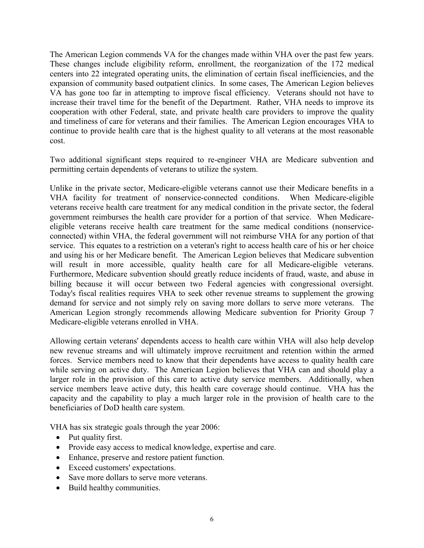The American Legion commends VA for the changes made within VHA over the past few years. These changes include eligibility reform, enrollment, the reorganization of the 172 medical centers into 22 integrated operating units, the elimination of certain fiscal inefficiencies, and the expansion of community based outpatient clinics. In some cases, The American Legion believes VA has gone too far in attempting to improve fiscal efficiency. Veterans should not have to increase their travel time for the benefit of the Department. Rather, VHA needs to improve its cooperation with other Federal, state, and private health care providers to improve the quality and timeliness of care for veterans and their families. The American Legion encourages VHA to continue to provide health care that is the highest quality to all veterans at the most reasonable cost.

Two additional significant steps required to re-engineer VHA are Medicare subvention and permitting certain dependents of veterans to utilize the system.

Unlike in the private sector, Medicare-eligible veterans cannot use their Medicare benefits in a VHA facility for treatment of nonservice-connected conditions. When Medicare-eligible veterans receive health care treatment for any medical condition in the private sector, the federal government reimburses the health care provider for a portion of that service. When Medicareeligible veterans receive health care treatment for the same medical conditions (nonserviceconnected) within VHA, the federal government will not reimburse VHA for any portion of that service. This equates to a restriction on a veteran's right to access health care of his or her choice and using his or her Medicare benefit. The American Legion believes that Medicare subvention will result in more accessible, quality health care for all Medicare-eligible veterans. Furthermore, Medicare subvention should greatly reduce incidents of fraud, waste, and abuse in billing because it will occur between two Federal agencies with congressional oversight. Today's fiscal realities requires VHA to seek other revenue streams to supplement the growing demand for service and not simply rely on saving more dollars to serve more veterans. The American Legion strongly recommends allowing Medicare subvention for Priority Group 7 Medicare-eligible veterans enrolled in VHA.

Allowing certain veterans' dependents access to health care within VHA will also help develop new revenue streams and will ultimately improve recruitment and retention within the armed forces. Service members need to know that their dependents have access to quality health care while serving on active duty. The American Legion believes that VHA can and should play a larger role in the provision of this care to active duty service members. Additionally, when service members leave active duty, this health care coverage should continue. VHA has the capacity and the capability to play a much larger role in the provision of health care to the beneficiaries of DoD health care system.

VHA has six strategic goals through the year 2006:

- Put quality first.
- Provide easy access to medical knowledge, expertise and care.
- Enhance, preserve and restore patient function.
- Exceed customers' expectations.
- Save more dollars to serve more veterans.
- Build healthy communities.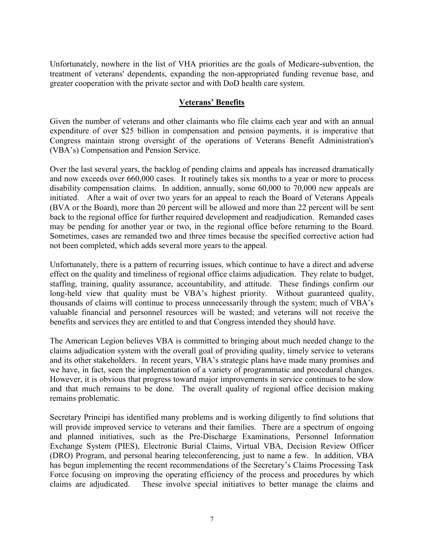Unfortunately, nowhere in the list of VHA priorities are the goals of Medicare-subvention, the treatment of veterans' dependents, expanding the non-appropriated funding revenue base, and greater cooperation with the private sector and with DoD health care system.

## **Veterans' Benefits**

Given the number of veterans and other claimants who file claims each year and with an annual expenditure of over \$25 billion in compensation and pension payments, it is imperative that Congress maintain strong oversight of the operations of Veterans Benefit Administration's (VBA's) Compensation and Pension Service.

Over the last several years, the backlog of pending claims and appeals has increased dramatically and now exceeds over 660,000 cases. It routinely takes six months to a year or more to process disability compensation claims. In addition, annually, some 60,000 to 70,000 new appeals are initiated. After a wait of over two years for an appeal to reach the Board of Veterans Appeals (BVA or the Board), more than 20 percent will be allowed and more than 22 percent will be sent back to the regional office for further required development and readjudication. Remanded cases may be pending for another year or two, in the regional office before returning to the Board. Sometimes, cases are remanded two and three times because the specified corrective action had not been completed, which adds several more years to the appeal.

Unfortunately, there is a pattern of recurring issues, which continue to have a direct and adverse effect on the quality and timeliness of regional office claims adjudication. They relate to budget, staffing, training, quality assurance, accountability, and attitude. These findings confirm our long-held view that quality must be VBA's highest priority. Without guaranteed quality, thousands of claims will continue to process unnecessarily through the system; much of VBA's valuable financial and personnel resources will be wasted; and veterans will not receive the benefits and services they are entitled to and that Congress intended they should have.

The American Legion believes VBA is committed to bringing about much needed change to the claims adjudication system with the overall goal of providing quality, timely service to veterans and its other stakeholders. In recent years, VBA's strategic plans have made many promises and we have, in fact, seen the implementation of a variety of programmatic and procedural changes. However, it is obvious that progress toward major improvements in service continues to be slow and that much remains to be done. The overall quality of regional office decision making remains problematic.

Secretary Principi has identified many problems and is working diligently to find solutions that will provide improved service to veterans and their families. There are a spectrum of ongoing and planned initiatives, such as the Pre-Discharge Examinations, Personnel Information Exchange System (PIES), Electronic Burial Claims, Virtual VBA, Decision Review Officer (DRO) Program, and personal hearing teleconferencing, just to name a few. In addition, VBA has begun implementing the recent recommendations of the Secretary's Claims Processing Task Force focusing on improving the operating efficiency of the process and procedures by which claims are adjudicated. These involve special initiatives to better manage the claims and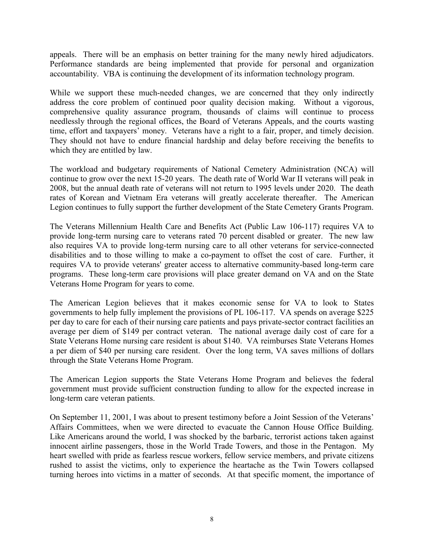appeals. There will be an emphasis on better training for the many newly hired adjudicators. Performance standards are being implemented that provide for personal and organization accountability. VBA is continuing the development of its information technology program.

While we support these much-needed changes, we are concerned that they only indirectly address the core problem of continued poor quality decision making. Without a vigorous, comprehensive quality assurance program, thousands of claims will continue to process needlessly through the regional offices, the Board of Veterans Appeals, and the courts wasting time, effort and taxpayers' money. Veterans have a right to a fair, proper, and timely decision. They should not have to endure financial hardship and delay before receiving the benefits to which they are entitled by law.

The workload and budgetary requirements of National Cemetery Administration (NCA) will continue to grow over the next 15-20 years. The death rate of World War II veterans will peak in 2008, but the annual death rate of veterans will not return to 1995 levels under 2020. The death rates of Korean and Vietnam Era veterans will greatly accelerate thereafter. The American Legion continues to fully support the further development of the State Cemetery Grants Program.

The Veterans Millennium Health Care and Benefits Act (Public Law 106-117) requires VA to provide long-term nursing care to veterans rated 70 percent disabled or greater. The new law also requires VA to provide long-term nursing care to all other veterans for service-connected disabilities and to those willing to make a co-payment to offset the cost of care. Further, it requires VA to provide veterans' greater access to alternative community-based long-term care programs. These long-term care provisions will place greater demand on VA and on the State Veterans Home Program for years to come.

The American Legion believes that it makes economic sense for VA to look to States governments to help fully implement the provisions of PL 106-117. VA spends on average \$225 per day to care for each of their nursing care patients and pays private-sector contract facilities an average per diem of \$149 per contract veteran. The national average daily cost of care for a State Veterans Home nursing care resident is about \$140. VA reimburses State Veterans Homes a per diem of \$40 per nursing care resident. Over the long term, VA saves millions of dollars through the State Veterans Home Program.

The American Legion supports the State Veterans Home Program and believes the federal government must provide sufficient construction funding to allow for the expected increase in long-term care veteran patients.

On September 11, 2001, I was about to present testimony before a Joint Session of the Veterans' Affairs Committees, when we were directed to evacuate the Cannon House Office Building. Like Americans around the world, I was shocked by the barbaric, terrorist actions taken against innocent airline passengers, those in the World Trade Towers, and those in the Pentagon. My heart swelled with pride as fearless rescue workers, fellow service members, and private citizens rushed to assist the victims, only to experience the heartache as the Twin Towers collapsed turning heroes into victims in a matter of seconds. At that specific moment, the importance of